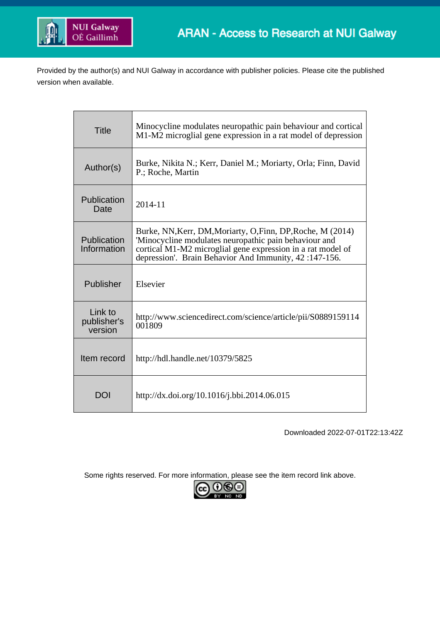

Provided by the author(s) and NUI Galway in accordance with publisher policies. Please cite the published version when available.

| <b>Title</b>                      | Minocycline modulates neuropathic pain behaviour and cortical<br>M1-M2 microglial gene expression in a rat model of depression                                                                                                               |  |  |  |
|-----------------------------------|----------------------------------------------------------------------------------------------------------------------------------------------------------------------------------------------------------------------------------------------|--|--|--|
| Author(s)                         | Burke, Nikita N.; Kerr, Daniel M.; Moriarty, Orla; Finn, David<br>P.; Roche, Martin                                                                                                                                                          |  |  |  |
| Publication<br>Date               | $2014 - 11$                                                                                                                                                                                                                                  |  |  |  |
| Publication<br>Information        | Burke, NN, Kerr, DM, Moriarty, O, Finn, DP, Roche, M (2014)<br>'Minocycline modulates neuropathic pain behaviour and<br>cortical M1-M2 microglial gene expression in a rat model of<br>depression'. Brain Behavior And Immunity, 42:147-156. |  |  |  |
| Publisher                         | Elsevier                                                                                                                                                                                                                                     |  |  |  |
| Link to<br>publisher's<br>version | http://www.sciencedirect.com/science/article/pii/S0889159114<br>001809                                                                                                                                                                       |  |  |  |
| Item record                       | http://hdl.handle.net/10379/5825                                                                                                                                                                                                             |  |  |  |
| DOI                               | http://dx.doi.org/10.1016/j.bbi.2014.06.015                                                                                                                                                                                                  |  |  |  |

Downloaded 2022-07-01T22:13:42Z

Some rights reserved. For more information, please see the item record link above.

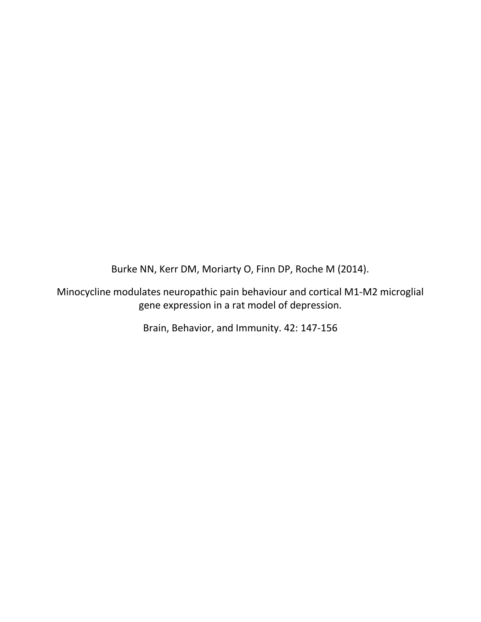Burke NN, Kerr DM, Moriarty O, Finn DP, Roche M (2014).

Minocycline modulates neuropathic pain behaviour and cortical M1-M2 microglial gene expression in a rat model of depression.

Brain, Behavior, and Immunity. 42: 147-156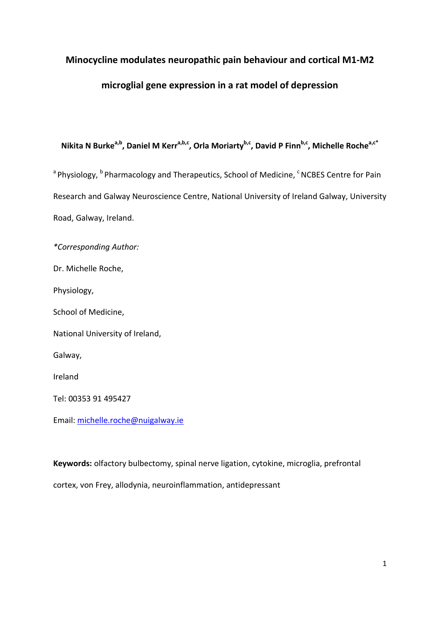# **Minocycline modulates neuropathic pain behaviour and cortical M1-M2**

# **microglial gene expression in a rat model of depression**

# Nikita N Burke<sup>a,b</sup>, Daniel M Kerr<sup>a,b,c</sup>, Orla Moriarty<sup>b,c</sup>, David P Finn<sup>b,c</sup>, Michelle Roche<sup>a,c\*</sup>

<sup>a</sup> Physiology, <sup>b</sup> Pharmacology and Therapeutics, School of Medicine, <sup>c</sup> NCBES Centre for Pain Research and Galway Neuroscience Centre, National University of Ireland Galway, University Road, Galway, Ireland.

*\*Corresponding Author:* 

Dr. Michelle Roche,

Physiology,

School of Medicine,

National University of Ireland,

Galway,

Ireland

Tel: 00353 91 495427

Email: [michelle.roche@nuigalway.ie](mailto:michelle.roche@nuigalway.ie)

**Keywords:** olfactory bulbectomy, spinal nerve ligation, cytokine, microglia, prefrontal cortex, von Frey, allodynia, neuroinflammation, antidepressant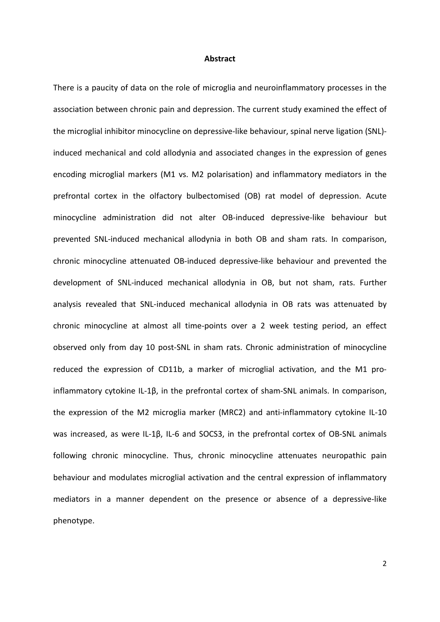#### **Abstract**

There is a paucity of data on the role of microglia and neuroinflammatory processes in the association between chronic pain and depression. The current study examined the effect of the microglial inhibitor minocycline on depressive-like behaviour, spinal nerve ligation (SNL) induced mechanical and cold allodynia and associated changes in the expression of genes encoding microglial markers (M1 vs. M2 polarisation) and inflammatory mediators in the prefrontal cortex in the olfactory bulbectomised (OB) rat model of depression. Acute minocycline administration did not alter OB-induced depressive-like behaviour but prevented SNL-induced mechanical allodynia in both OB and sham rats. In comparison, chronic minocycline attenuated OB-induced depressive-like behaviour and prevented the development of SNL-induced mechanical allodynia in OB, but not sham, rats. Further analysis revealed that SNL-induced mechanical allodynia in OB rats was attenuated by chronic minocycline at almost all time-points over a 2 week testing period, an effect observed only from day 10 post-SNL in sham rats. Chronic administration of minocycline reduced the expression of CD11b, a marker of microglial activation, and the M1 proinflammatory cytokine IL-1β, in the prefrontal cortex of sham-SNL animals. In comparison, the expression of the M2 microglia marker (MRC2) and anti-inflammatory cytokine IL-10 was increased, as were IL-1β, IL-6 and SOCS3, in the prefrontal cortex of OB-SNL animals following chronic minocycline. Thus, chronic minocycline attenuates neuropathic pain behaviour and modulates microglial activation and the central expression of inflammatory mediators in a manner dependent on the presence or absence of a depressive-like phenotype.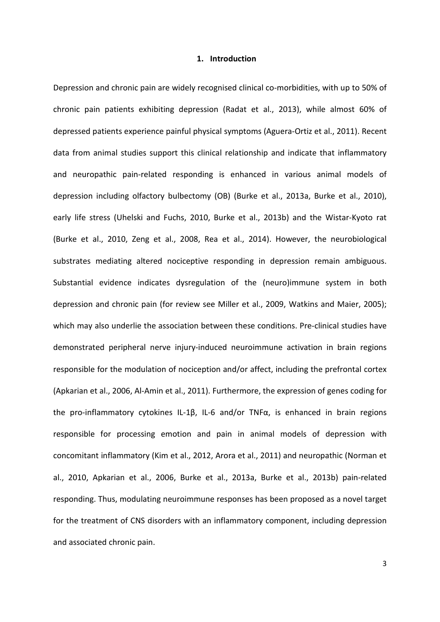#### **1. Introduction**

Depression and chronic pain are widely recognised clinical co-morbidities, with up to 50% of chronic pain patients exhibiting depression (Radat et al., 2013), while almost 60% of depressed patients experience painful physical symptoms (Aguera-Ortiz et al., 2011). Recent data from animal studies support this clinical relationship and indicate that inflammatory and neuropathic pain-related responding is enhanced in various animal models of depression including olfactory bulbectomy (OB) (Burke et al., 2013a, Burke et al., 2010), early life stress (Uhelski and Fuchs, 2010, Burke et al., 2013b) and the Wistar-Kyoto rat (Burke et al., 2010, Zeng et al., 2008, Rea et al., 2014). However, the neurobiological substrates mediating altered nociceptive responding in depression remain ambiguous. Substantial evidence indicates dysregulation of the (neuro)immune system in both depression and chronic pain (for review see Miller et al., 2009, Watkins and Maier, 2005); which may also underlie the association between these conditions. Pre-clinical studies have demonstrated peripheral nerve injury-induced neuroimmune activation in brain regions responsible for the modulation of nociception and/or affect, including the prefrontal cortex (Apkarian et al., 2006, Al-Amin et al., 2011). Furthermore, the expression of genes coding for the pro-inflammatory cytokines IL-1β, IL-6 and/or TNFα, is enhanced in brain regions responsible for processing emotion and pain in animal models of depression with concomitant inflammatory (Kim et al., 2012, Arora et al., 2011) and neuropathic (Norman et al., 2010, Apkarian et al., 2006, Burke et al., 2013a, Burke et al., 2013b) pain-related responding. Thus, modulating neuroimmune responses has been proposed as a novel target for the treatment of CNS disorders with an inflammatory component, including depression and associated chronic pain.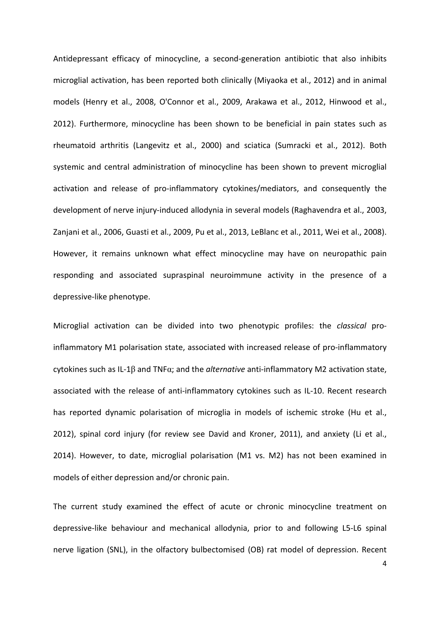Antidepressant efficacy of minocycline, a second-generation antibiotic that also inhibits microglial activation, has been reported both clinically (Miyaoka et al., 2012) and in animal models (Henry et al., 2008, O'Connor et al., 2009, Arakawa et al., 2012, Hinwood et al., 2012). Furthermore, minocycline has been shown to be beneficial in pain states such as rheumatoid arthritis (Langevitz et al., 2000) and sciatica (Sumracki et al., 2012). Both systemic and central administration of minocycline has been shown to prevent microglial activation and release of pro-inflammatory cytokines/mediators, and consequently the development of nerve injury-induced allodynia in several models (Raghavendra et al., 2003, Zanjani et al., 2006, Guasti et al., 2009, Pu et al., 2013, LeBlanc et al., 2011, Wei et al., 2008). However, it remains unknown what effect minocycline may have on neuropathic pain responding and associated supraspinal neuroimmune activity in the presence of a depressive-like phenotype.

Microglial activation can be divided into two phenotypic profiles: the *classical* proinflammatory M1 polarisation state, associated with increased release of pro-inflammatory cytokines such as IL-1β and TNFα; and the *alternative* anti-inflammatory M2 activation state, associated with the release of anti-inflammatory cytokines such as IL-10. Recent research has reported dynamic polarisation of microglia in models of ischemic stroke (Hu et al., 2012), spinal cord injury (for review see David and Kroner, 2011), and anxiety (Li et al., 2014). However, to date, microglial polarisation (M1 vs. M2) has not been examined in models of either depression and/or chronic pain.

The current study examined the effect of acute or chronic minocycline treatment on depressive-like behaviour and mechanical allodynia, prior to and following L5-L6 spinal nerve ligation (SNL), in the olfactory bulbectomised (OB) rat model of depression. Recent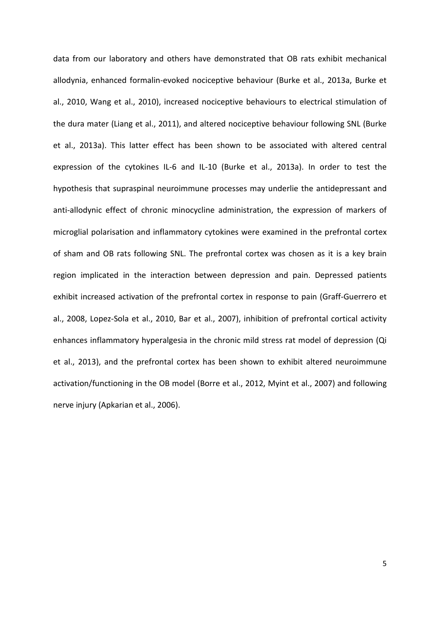data from our laboratory and others have demonstrated that OB rats exhibit mechanical allodynia, enhanced formalin-evoked nociceptive behaviour (Burke et al., 2013a, Burke et al., 2010, Wang et al., 2010), increased nociceptive behaviours to electrical stimulation of the dura mater (Liang et al., 2011), and altered nociceptive behaviour following SNL (Burke et al., 2013a). This latter effect has been shown to be associated with altered central expression of the cytokines IL-6 and IL-10 (Burke et al., 2013a). In order to test the hypothesis that supraspinal neuroimmune processes may underlie the antidepressant and anti-allodynic effect of chronic minocycline administration, the expression of markers of microglial polarisation and inflammatory cytokines were examined in the prefrontal cortex of sham and OB rats following SNL. The prefrontal cortex was chosen as it is a key brain region implicated in the interaction between depression and pain. Depressed patients exhibit increased activation of the prefrontal cortex in response to pain (Graff-Guerrero et al., 2008, Lopez-Sola et al., 2010, Bar et al., 2007), inhibition of prefrontal cortical activity enhances inflammatory hyperalgesia in the chronic mild stress rat model of depression (Qi et al., 2013), and the prefrontal cortex has been shown to exhibit altered neuroimmune activation/functioning in the OB model (Borre et al., 2012, Myint et al., 2007) and following nerve injury (Apkarian et al., 2006).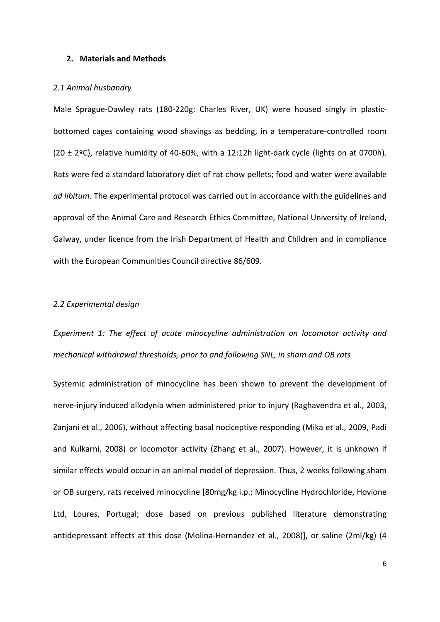### **2. Materials and Methods**

### *2.1 Animal husbandry*

Male Sprague-Dawley rats (180-220g: Charles River, UK) were housed singly in plasticbottomed cages containing wood shavings as bedding, in a temperature-controlled room  $(20 \pm 29)$ , relative humidity of 40-60%, with a 12:12h light-dark cycle (lights on at 0700h). Rats were fed a standard laboratory diet of rat chow pellets; food and water were available *ad libitum*. The experimental protocol was carried out in accordance with the guidelines and approval of the Animal Care and Research Ethics Committee, National University of Ireland, Galway, under licence from the Irish Department of Health and Children and in compliance with the European Communities Council directive 86/609.

### *2.2 Experimental design*

# *Experiment 1: The effect of acute minocycline administration on locomotor activity and mechanical withdrawal thresholds, prior to and following SNL, in sham and OB rats*

Systemic administration of minocycline has been shown to prevent the development of nerve-injury induced allodynia when administered prior to injury (Raghavendra et al., 2003, Zanjani et al., 2006), without affecting basal nociceptive responding (Mika et al., 2009, Padi and Kulkarni, 2008) or locomotor activity (Zhang et al., 2007). However, it is unknown if similar effects would occur in an animal model of depression. Thus, 2 weeks following sham or OB surgery, rats received minocycline [80mg/kg i.p.; Minocycline Hydrochloride, Hovione Ltd, Loures, Portugal; dose based on previous published literature demonstrating antidepressant effects at this dose (Molina-Hernandez et al., 2008)], or saline (2ml/kg) (4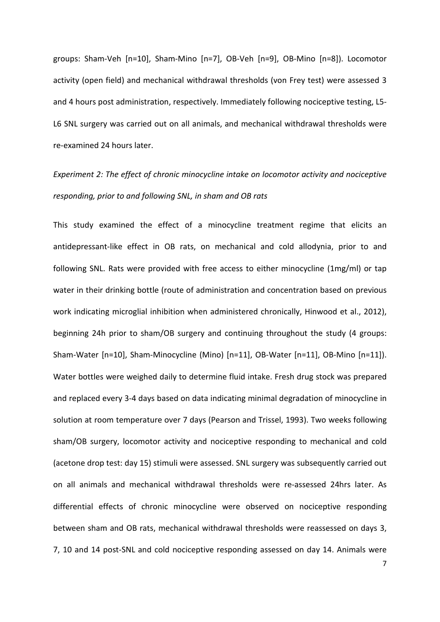groups: Sham-Veh [n=10], Sham-Mino [n=7], OB-Veh [n=9], OB-Mino [n=8]). Locomotor activity (open field) and mechanical withdrawal thresholds (von Frey test) were assessed 3 and 4 hours post administration, respectively. Immediately following nociceptive testing, L5- L6 SNL surgery was carried out on all animals, and mechanical withdrawal thresholds were re-examined 24 hours later.

# *Experiment 2: The effect of chronic minocycline intake on locomotor activity and nociceptive responding, prior to and following SNL, in sham and OB rats*

This study examined the effect of a minocycline treatment regime that elicits an antidepressant-like effect in OB rats, on mechanical and cold allodynia, prior to and following SNL. Rats were provided with free access to either minocycline (1mg/ml) or tap water in their drinking bottle (route of administration and concentration based on previous work indicating microglial inhibition when administered chronically, Hinwood et al., 2012), beginning 24h prior to sham/OB surgery and continuing throughout the study (4 groups: Sham-Water [n=10], Sham-Minocycline (Mino) [n=11], OB-Water [n=11], OB-Mino [n=11]). Water bottles were weighed daily to determine fluid intake. Fresh drug stock was prepared and replaced every 3-4 days based on data indicating minimal degradation of minocycline in solution at room temperature over 7 days (Pearson and Trissel, 1993). Two weeks following sham/OB surgery, locomotor activity and nociceptive responding to mechanical and cold (acetone drop test: day 15) stimuli were assessed. SNL surgery was subsequently carried out on all animals and mechanical withdrawal thresholds were re-assessed 24hrs later. As differential effects of chronic minocycline were observed on nociceptive responding between sham and OB rats, mechanical withdrawal thresholds were reassessed on days 3, 7, 10 and 14 post-SNL and cold nociceptive responding assessed on day 14. Animals were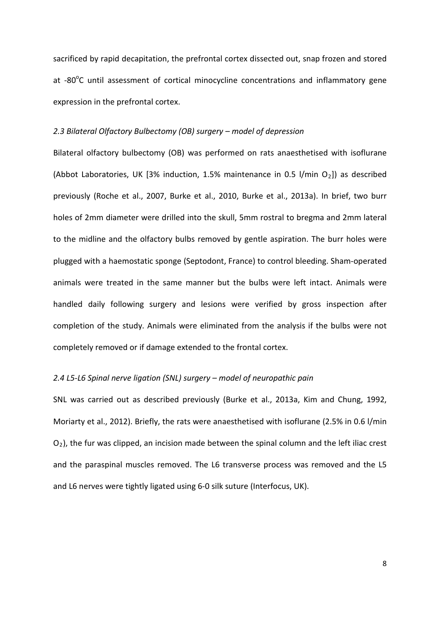sacrificed by rapid decapitation, the prefrontal cortex dissected out, snap frozen and stored at -80°C until assessment of cortical minocycline concentrations and inflammatory gene expression in the prefrontal cortex.

#### *2.3 Bilateral Olfactory Bulbectomy (OB) surgery – model of depression*

Bilateral olfactory bulbectomy (OB) was performed on rats anaesthetised with isoflurane (Abbot Laboratories, UK [3% induction, 1.5% maintenance in 0.5 l/min  $O_2$ ]) as described previously (Roche et al., 2007, Burke et al., 2010, Burke et al., 2013a). In brief, two burr holes of 2mm diameter were drilled into the skull, 5mm rostral to bregma and 2mm lateral to the midline and the olfactory bulbs removed by gentle aspiration. The burr holes were plugged with a haemostatic sponge (Septodont, France) to control bleeding. Sham-operated animals were treated in the same manner but the bulbs were left intact. Animals were handled daily following surgery and lesions were verified by gross inspection after completion of the study. Animals were eliminated from the analysis if the bulbs were not completely removed or if damage extended to the frontal cortex.

## *2.4 L5-L6 Spinal nerve ligation (SNL) surgery – model of neuropathic pain*

SNL was carried out as described previously (Burke et al., 2013a, Kim and Chung, 1992, Moriarty et al., 2012). Briefly, the rats were anaesthetised with isoflurane (2.5% in 0.6 l/min  $O<sub>2</sub>$ ), the fur was clipped, an incision made between the spinal column and the left iliac crest and the paraspinal muscles removed. The L6 transverse process was removed and the L5 and L6 nerves were tightly ligated using 6-0 silk suture (Interfocus, UK).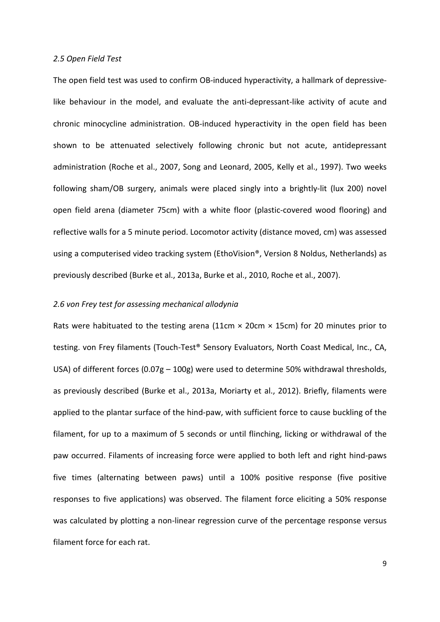#### *2.5 Open Field Test*

The open field test was used to confirm OB-induced hyperactivity, a hallmark of depressivelike behaviour in the model, and evaluate the anti-depressant-like activity of acute and chronic minocycline administration. OB-induced hyperactivity in the open field has been shown to be attenuated selectively following chronic but not acute, antidepressant administration (Roche et al., 2007, Song and Leonard, 2005, Kelly et al., 1997). Two weeks following sham/OB surgery, animals were placed singly into a brightly-lit (lux 200) novel open field arena (diameter 75cm) with a white floor (plastic-covered wood flooring) and reflective walls for a 5 minute period. Locomotor activity (distance moved, cm) was assessed using a computerised video tracking system (EthoVision®, Version 8 Noldus, Netherlands) as previously described (Burke et al., 2013a, Burke et al., 2010, Roche et al., 2007).

#### *2.6 von Frey test for assessing mechanical allodynia*

Rats were habituated to the testing arena (11cm  $\times$  20cm  $\times$  15cm) for 20 minutes prior to testing. von Frey filaments (Touch-Test® Sensory Evaluators, North Coast Medical, Inc., CA, USA) of different forces (0.07g – 100g) were used to determine 50% withdrawal thresholds, as previously described (Burke et al., 2013a, Moriarty et al., 2012). Briefly, filaments were applied to the plantar surface of the hind-paw, with sufficient force to cause buckling of the filament, for up to a maximum of 5 seconds or until flinching, licking or withdrawal of the paw occurred. Filaments of increasing force were applied to both left and right hind-paws five times (alternating between paws) until a 100% positive response (five positive responses to five applications) was observed. The filament force eliciting a 50% response was calculated by plotting a non-linear regression curve of the percentage response versus filament force for each rat.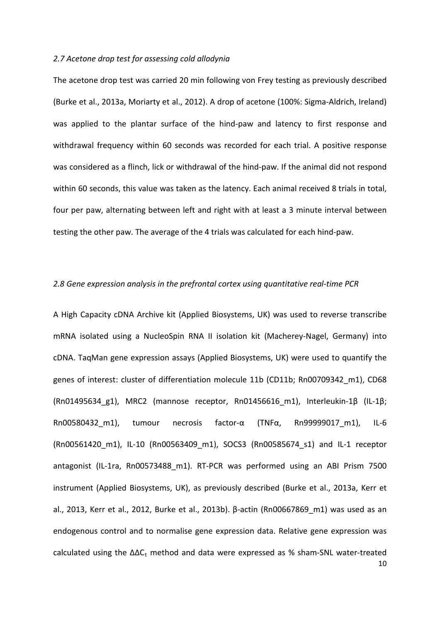### *2.7 Acetone drop test for assessing cold allodynia*

The acetone drop test was carried 20 min following von Frey testing as previously described (Burke et al., 2013a, Moriarty et al., 2012). A drop of acetone (100%: Sigma-Aldrich, Ireland) was applied to the plantar surface of the hind-paw and latency to first response and withdrawal frequency within 60 seconds was recorded for each trial. A positive response was considered as a flinch, lick or withdrawal of the hind-paw. If the animal did not respond within 60 seconds, this value was taken as the latency. Each animal received 8 trials in total, four per paw, alternating between left and right with at least a 3 minute interval between testing the other paw. The average of the 4 trials was calculated for each hind-paw.

#### *2.8 Gene expression analysis in the prefrontal cortex using quantitative real-time PCR*

10 A High Capacity cDNA Archive kit (Applied Biosystems, UK) was used to reverse transcribe mRNA isolated using a NucleoSpin RNA II isolation kit (Macherey-Nagel, Germany) into cDNA. TaqMan gene expression assays (Applied Biosystems, UK) were used to quantify the genes of interest: cluster of differentiation molecule 11b (CD11b; Rn00709342 m1), CD68 (Rn01495634\_g1), MRC2 (mannose receptor, Rn01456616\_m1), Interleukin-1β (IL-1β; Rn00580432\_m1), tumour necrosis factor-α (TNFα, Rn99999017\_m1), IL-6 (Rn00561420\_m1), IL-10 (Rn00563409\_m1), SOCS3 (Rn00585674\_s1) and IL-1 receptor antagonist (IL-1ra, Rn00573488\_m1). RT-PCR was performed using an ABI Prism 7500 instrument (Applied Biosystems, UK), as previously described (Burke et al., 2013a, Kerr et al., 2013, Kerr et al., 2012, Burke et al., 2013b). β-actin (Rn00667869\_m1) was used as an endogenous control and to normalise gene expression data. Relative gene expression was calculated using the  $\Delta\Delta C_t$  method and data were expressed as % sham-SNL water-treated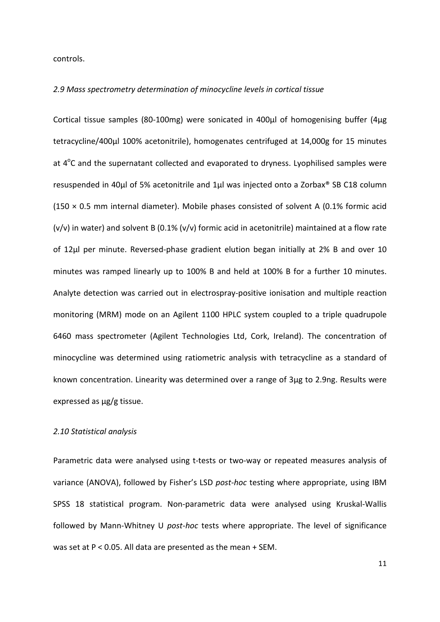controls.

#### *2.9 Mass spectrometry determination of minocycline levels in cortical tissue*

Cortical tissue samples (80-100mg) were sonicated in 400µl of homogenising buffer (4μg tetracycline/400μl 100% acetonitrile), homogenates centrifuged at 14,000g for 15 minutes at 4<sup>o</sup>C and the supernatant collected and evaporated to dryness. Lyophilised samples were resuspended in 40µl of 5% acetonitrile and 1µl was injected onto a Zorbax® SB C18 column  $(150 \times 0.5$  mm internal diameter). Mobile phases consisted of solvent A (0.1% formic acid  $(v/v)$  in water) and solvent B (0.1%  $(v/v)$  formic acid in acetonitrile) maintained at a flow rate of 12µl per minute. Reversed-phase gradient elution began initially at 2% B and over 10 minutes was ramped linearly up to 100% B and held at 100% B for a further 10 minutes. Analyte detection was carried out in electrospray-positive ionisation and multiple reaction monitoring (MRM) mode on an Agilent 1100 HPLC system coupled to a triple quadrupole 6460 mass spectrometer (Agilent Technologies Ltd, Cork, Ireland). The concentration of minocycline was determined using ratiometric analysis with tetracycline as a standard of known concentration. Linearity was determined over a range of 3μg to 2.9ng. Results were expressed as μg/g tissue.

### *2.10 Statistical analysis*

Parametric data were analysed using t-tests or two-way or repeated measures analysis of variance (ANOVA), followed by Fisher's LSD *post-hoc* testing where appropriate, using IBM SPSS 18 statistical program. Non-parametric data were analysed using Kruskal-Wallis followed by Mann-Whitney U *post-hoc* tests where appropriate. The level of significance was set at P < 0.05. All data are presented as the mean + SEM.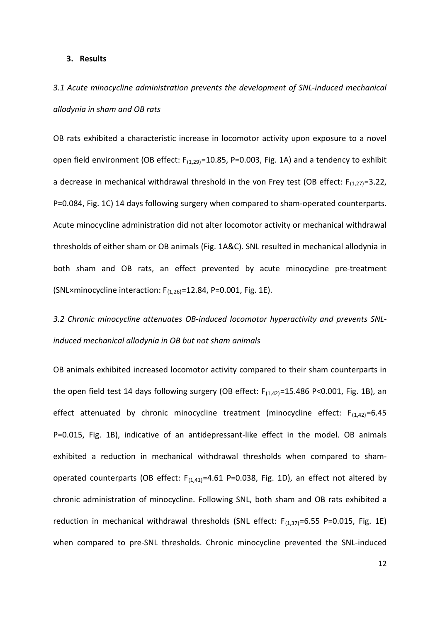#### **3. Results**

# *3.1 Acute minocycline administration prevents the development of SNL-induced mechanical allodynia in sham and OB rats*

OB rats exhibited a characteristic increase in locomotor activity upon exposure to a novel open field environment (OB effect:  $F_{(1,29)}$ =10.85, P=0.003, Fig. 1A) and a tendency to exhibit a decrease in mechanical withdrawal threshold in the von Frey test (OB effect:  $F_{(1,27)}=3.22$ , P=0.084, Fig. 1C) 14 days following surgery when compared to sham-operated counterparts. Acute minocycline administration did not alter locomotor activity or mechanical withdrawal thresholds of either sham or OB animals (Fig. 1A&C). SNL resulted in mechanical allodynia in both sham and OB rats, an effect prevented by acute minocycline pre-treatment (SNL×minocycline interaction:  $F_{(1,26)}$ =12.84, P=0.001, Fig. 1E).

*3.2 Chronic minocycline attenuates OB-induced locomotor hyperactivity and prevents SNLinduced mechanical allodynia in OB but not sham animals*

OB animals exhibited increased locomotor activity compared to their sham counterparts in the open field test 14 days following surgery (OB effect:  $F_{(1,42)}$ =15.486 P<0.001, Fig. 1B), an effect attenuated by chronic minocycline treatment (minocycline effect:  $F_{(1,42)}=6.45$ P=0.015, Fig. 1B), indicative of an antidepressant-like effect in the model. OB animals exhibited a reduction in mechanical withdrawal thresholds when compared to shamoperated counterparts (OB effect:  $F_{(1,41)}=4.61$  P=0.038, Fig. 1D), an effect not altered by chronic administration of minocycline. Following SNL, both sham and OB rats exhibited a reduction in mechanical withdrawal thresholds (SNL effect:  $F_{(1,37)}=6.55$  P=0.015, Fig. 1E) when compared to pre-SNL thresholds. Chronic minocycline prevented the SNL-induced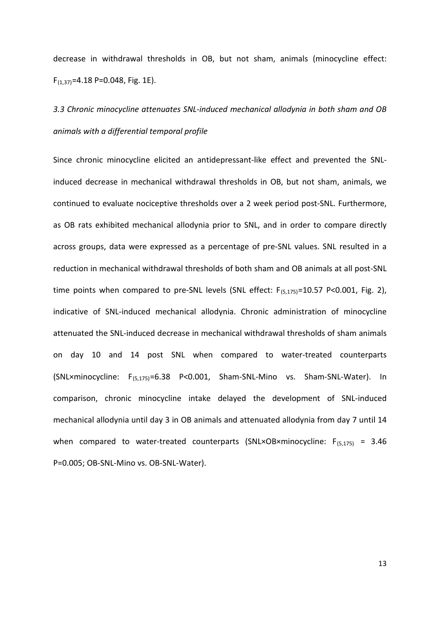decrease in withdrawal thresholds in OB, but not sham, animals (minocycline effect:  $F_{(1,37)}$ =4.18 P=0.048, Fig. 1E).

# *3.3 Chronic minocycline attenuates SNL-induced mechanical allodynia in both sham and OB animals with a differential temporal profile*

Since chronic minocycline elicited an antidepressant-like effect and prevented the SNLinduced decrease in mechanical withdrawal thresholds in OB, but not sham, animals, we continued to evaluate nociceptive thresholds over a 2 week period post-SNL. Furthermore, as OB rats exhibited mechanical allodynia prior to SNL, and in order to compare directly across groups, data were expressed as a percentage of pre-SNL values. SNL resulted in a reduction in mechanical withdrawal thresholds of both sham and OB animals at all post-SNL time points when compared to pre-SNL levels (SNL effect:  $F_{(5,175)}=10.57$  P<0.001, Fig. 2), indicative of SNL-induced mechanical allodynia. Chronic administration of minocycline attenuated the SNL-induced decrease in mechanical withdrawal thresholds of sham animals on day 10 and 14 post SNL when compared to water-treated counterparts (SNL×minocycline: F(5,175)=6.38 P<0.001, Sham-SNL-Mino vs. Sham-SNL-Water). In comparison, chronic minocycline intake delayed the development of SNL-induced mechanical allodynia until day 3 in OB animals and attenuated allodynia from day 7 until 14 when compared to water-treated counterparts (SNL×OB×minocycline:  $F_{(5,175)} = 3.46$ P=0.005; OB-SNL-Mino vs. OB-SNL-Water).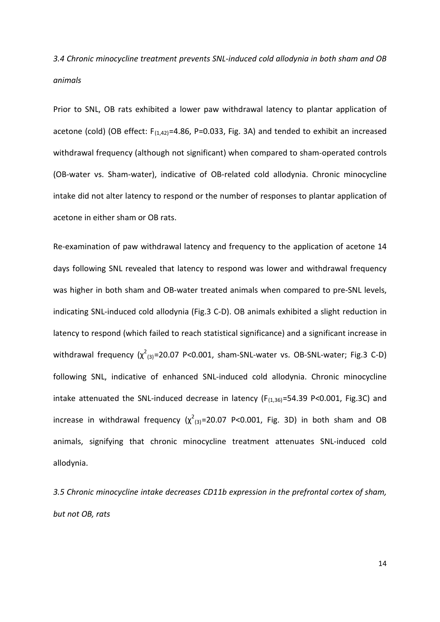*3.4 Chronic minocycline treatment prevents SNL-induced cold allodynia in both sham and OB animals*

Prior to SNL, OB rats exhibited a lower paw withdrawal latency to plantar application of acetone (cold) (OB effect:  $F_{(1,42)}=4.86$ , P=0.033, Fig. 3A) and tended to exhibit an increased withdrawal frequency (although not significant) when compared to sham-operated controls (OB-water vs. Sham-water), indicative of OB-related cold allodynia. Chronic minocycline intake did not alter latency to respond or the number of responses to plantar application of acetone in either sham or OB rats.

Re-examination of paw withdrawal latency and frequency to the application of acetone 14 days following SNL revealed that latency to respond was lower and withdrawal frequency was higher in both sham and OB-water treated animals when compared to pre-SNL levels, indicating SNL-induced cold allodynia (Fig.3 C-D). OB animals exhibited a slight reduction in latency to respond (which failed to reach statistical significance) and a significant increase in withdrawal frequency  $(\chi^2_{(3)}$ =20.07 P<0.001, sham-SNL-water vs. OB-SNL-water; Fig.3 C-D) following SNL, indicative of enhanced SNL-induced cold allodynia. Chronic minocycline intake attenuated the SNL-induced decrease in latency  $(F_{(1,36)}=54.39 \text{ P} < 0.001, \text{ Fig.3C})$  and increase in withdrawal frequency  $(\chi^2_{(3)}=20.07$  P<0.001, Fig. 3D) in both sham and OB animals, signifying that chronic minocycline treatment attenuates SNL-induced cold allodynia.

*3.5 Chronic minocycline intake decreases CD11b expression in the prefrontal cortex of sham, but not OB, rats*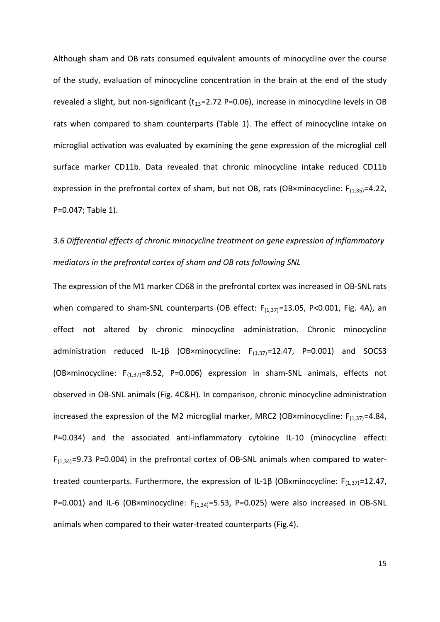Although sham and OB rats consumed equivalent amounts of minocycline over the course of the study, evaluation of minocycline concentration in the brain at the end of the study revealed a slight, but non-significant ( $t_{13}=2.72$  P=0.06), increase in minocycline levels in OB rats when compared to sham counterparts (Table 1). The effect of minocycline intake on microglial activation was evaluated by examining the gene expression of the microglial cell surface marker CD11b. Data revealed that chronic minocycline intake reduced CD11b expression in the prefrontal cortex of sham, but not OB, rats (OB×minocycline:  $F_{(1,35)}=4.22$ , P=0.047; Table 1).

# *3.6 Differential effects of chronic minocycline treatment on gene expression of inflammatory mediators in the prefrontal cortex of sham and OB rats following SNL*

The expression of the M1 marker CD68 in the prefrontal cortex was increased in OB-SNL rats when compared to sham-SNL counterparts (OB effect:  $F_{(1,37)}$ =13.05, P<0.001, Fig. 4A), an effect not altered by chronic minocycline administration. Chronic minocycline administration reduced IL-1 $\beta$  (OB×minocycline:  $F_{(1,37)}=12.47$ , P=0.001) and SOCS3 (OB×minocycline:  $F_{(1,37)}=8.52$ , P=0.006) expression in sham-SNL animals, effects not observed in OB-SNL animals (Fig. 4C&H). In comparison, chronic minocycline administration increased the expression of the M2 microglial marker, MRC2 (OB×minocycline:  $F_{(1,37)}=4.84$ , P=0.034) and the associated anti-inflammatory cytokine IL-10 (minocycline effect:  $F_{(1,34)}$ =9.73 P=0.004) in the prefrontal cortex of OB-SNL animals when compared to watertreated counterparts. Furthermore, the expression of IL-1 $\beta$  (OBxminocycline: F<sub>(1,37)</sub>=12.47, P=0.001) and IL-6 (OB×minocycline:  $F_{(1,34)}$ =5.53, P=0.025) were also increased in OB-SNL animals when compared to their water-treated counterparts (Fig.4).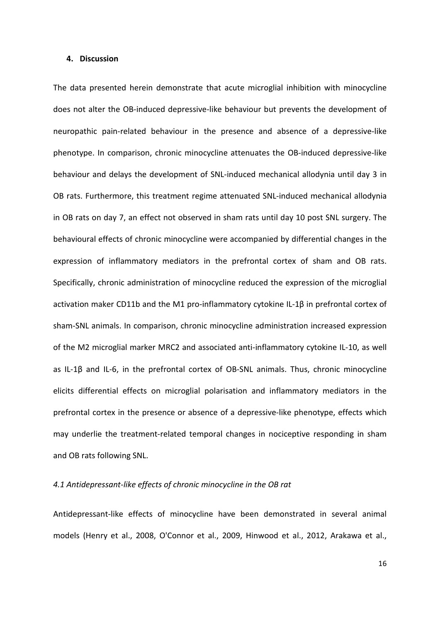#### **4. Discussion**

The data presented herein demonstrate that acute microglial inhibition with minocycline does not alter the OB-induced depressive-like behaviour but prevents the development of neuropathic pain-related behaviour in the presence and absence of a depressive-like phenotype. In comparison, chronic minocycline attenuates the OB-induced depressive-like behaviour and delays the development of SNL-induced mechanical allodynia until day 3 in OB rats. Furthermore, this treatment regime attenuated SNL-induced mechanical allodynia in OB rats on day 7, an effect not observed in sham rats until day 10 post SNL surgery. The behavioural effects of chronic minocycline were accompanied by differential changes in the expression of inflammatory mediators in the prefrontal cortex of sham and OB rats. Specifically, chronic administration of minocycline reduced the expression of the microglial activation maker CD11b and the M1 pro-inflammatory cytokine IL-1β in prefrontal cortex of sham-SNL animals. In comparison, chronic minocycline administration increased expression of the M2 microglial marker MRC2 and associated anti-inflammatory cytokine IL-10, as well as IL-1β and IL-6, in the prefrontal cortex of OB-SNL animals. Thus, chronic minocycline elicits differential effects on microglial polarisation and inflammatory mediators in the prefrontal cortex in the presence or absence of a depressive-like phenotype, effects which may underlie the treatment-related temporal changes in nociceptive responding in sham and OB rats following SNL.

#### *4.1 Antidepressant-like effects of chronic minocycline in the OB rat*

Antidepressant-like effects of minocycline have been demonstrated in several animal models (Henry et al., 2008, O'Connor et al., 2009, Hinwood et al., 2012, Arakawa et al.,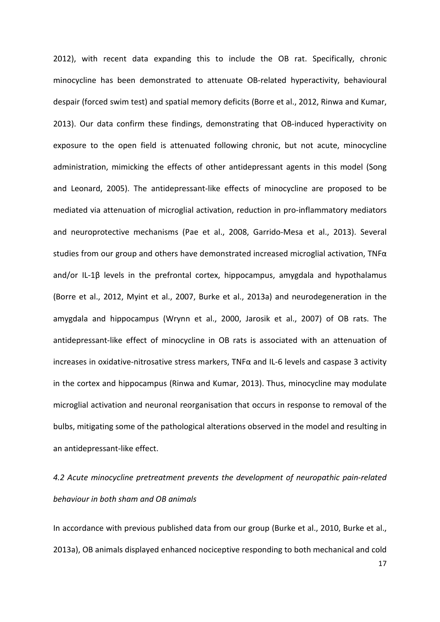2012), with recent data expanding this to include the OB rat. Specifically, chronic minocycline has been demonstrated to attenuate OB-related hyperactivity, behavioural despair (forced swim test) and spatial memory deficits (Borre et al., 2012, Rinwa and Kumar, 2013). Our data confirm these findings, demonstrating that OB-induced hyperactivity on exposure to the open field is attenuated following chronic, but not acute, minocycline administration, mimicking the effects of other antidepressant agents in this model (Song and Leonard, 2005). The antidepressant-like effects of minocycline are proposed to be mediated via attenuation of microglial activation, reduction in pro-inflammatory mediators and neuroprotective mechanisms (Pae et al., 2008, Garrido-Mesa et al., 2013). Several studies from our group and others have demonstrated increased microglial activation, TNFα and/or IL-1 $\beta$  levels in the prefrontal cortex, hippocampus, amygdala and hypothalamus (Borre et al., 2012, Myint et al., 2007, Burke et al., 2013a) and neurodegeneration in the amygdala and hippocampus (Wrynn et al., 2000, Jarosik et al., 2007) of OB rats. The antidepressant-like effect of minocycline in OB rats is associated with an attenuation of increases in oxidative-nitrosative stress markers, TNFα and IL-6 levels and caspase 3 activity in the cortex and hippocampus (Rinwa and Kumar, 2013). Thus, minocycline may modulate microglial activation and neuronal reorganisation that occurs in response to removal of the bulbs, mitigating some of the pathological alterations observed in the model and resulting in an antidepressant-like effect.

*4.2 Acute minocycline pretreatment prevents the development of neuropathic pain-related behaviour in both sham and OB animals*

In accordance with previous published data from our group (Burke et al., 2010, Burke et al., 2013a), OB animals displayed enhanced nociceptive responding to both mechanical and cold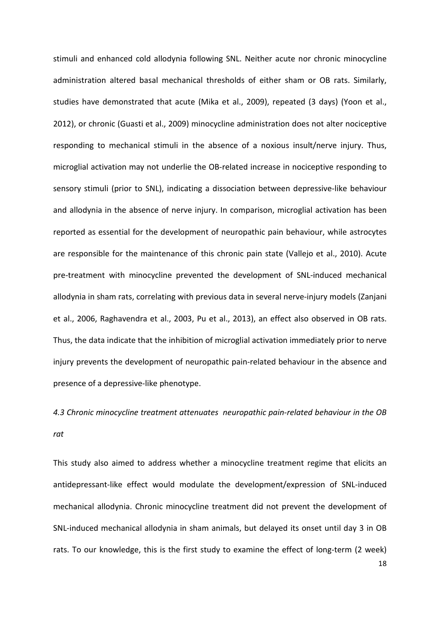stimuli and enhanced cold allodynia following SNL. Neither acute nor chronic minocycline administration altered basal mechanical thresholds of either sham or OB rats. Similarly, studies have demonstrated that acute (Mika et al., 2009), repeated (3 days) (Yoon et al., 2012), or chronic (Guasti et al., 2009) minocycline administration does not alter nociceptive responding to mechanical stimuli in the absence of a noxious insult/nerve injury. Thus, microglial activation may not underlie the OB-related increase in nociceptive responding to sensory stimuli (prior to SNL), indicating a dissociation between depressive-like behaviour and allodynia in the absence of nerve injury. In comparison, microglial activation has been reported as essential for the development of neuropathic pain behaviour, while astrocytes are responsible for the maintenance of this chronic pain state (Vallejo et al., 2010). Acute pre-treatment with minocycline prevented the development of SNL-induced mechanical allodynia in sham rats, correlating with previous data in several nerve-injury models (Zanjani et al., 2006, Raghavendra et al., 2003, Pu et al., 2013), an effect also observed in OB rats. Thus, the data indicate that the inhibition of microglial activation immediately prior to nerve injury prevents the development of neuropathic pain-related behaviour in the absence and presence of a depressive-like phenotype.

# *4.3 Chronic minocycline treatment attenuates neuropathic pain-related behaviour in the OB rat*

This study also aimed to address whether a minocycline treatment regime that elicits an antidepressant-like effect would modulate the development/expression of SNL-induced mechanical allodynia. Chronic minocycline treatment did not prevent the development of SNL-induced mechanical allodynia in sham animals, but delayed its onset until day 3 in OB rats. To our knowledge, this is the first study to examine the effect of long-term (2 week)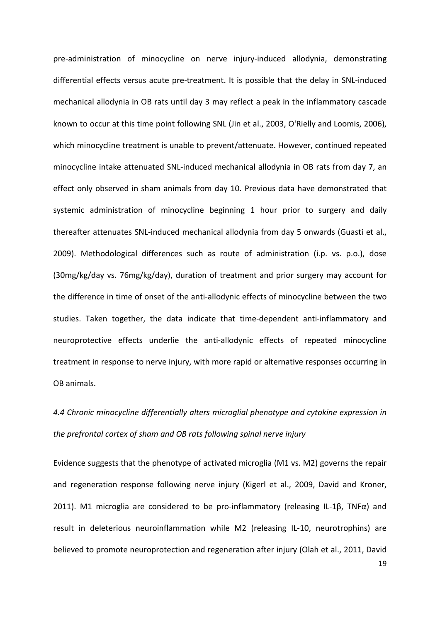pre-administration of minocycline on nerve injury-induced allodynia, demonstrating differential effects versus acute pre-treatment. It is possible that the delay in SNL-induced mechanical allodynia in OB rats until day 3 may reflect a peak in the inflammatory cascade known to occur at this time point following SNL (Jin et al., 2003, O'Rielly and Loomis, 2006), which minocycline treatment is unable to prevent/attenuate. However, continued repeated minocycline intake attenuated SNL-induced mechanical allodynia in OB rats from day 7, an effect only observed in sham animals from day 10. Previous data have demonstrated that systemic administration of minocycline beginning 1 hour prior to surgery and daily thereafter attenuates SNL-induced mechanical allodynia from day 5 onwards (Guasti et al., 2009). Methodological differences such as route of administration (i.p. vs. p.o.), dose (30mg/kg/day vs. 76mg/kg/day), duration of treatment and prior surgery may account for the difference in time of onset of the anti-allodynic effects of minocycline between the two studies. Taken together, the data indicate that time-dependent anti-inflammatory and neuroprotective effects underlie the anti-allodynic effects of repeated minocycline treatment in response to nerve injury, with more rapid or alternative responses occurring in OB animals.

# *4.4 Chronic minocycline differentially alters microglial phenotype and cytokine expression in the prefrontal cortex of sham and OB rats following spinal nerve injury*

Evidence suggests that the phenotype of activated microglia (M1 vs. M2) governs the repair and regeneration response following nerve injury (Kigerl et al., 2009, David and Kroner, 2011). M1 microglia are considered to be pro-inflammatory (releasing IL-1β, TNFα) and result in deleterious neuroinflammation while M2 (releasing IL-10, neurotrophins) are believed to promote neuroprotection and regeneration after injury (Olah et al., 2011, David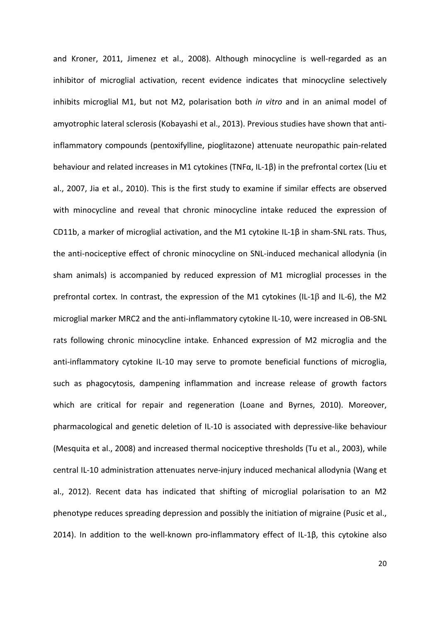and Kroner, 2011, Jimenez et al., 2008). Although minocycline is well-regarded as an inhibitor of microglial activation, recent evidence indicates that minocycline selectively inhibits microglial M1, but not M2, polarisation both *in vitro* and in an animal model of amyotrophic lateral sclerosis (Kobayashi et al., 2013). Previous studies have shown that antiinflammatory compounds (pentoxifylline, pioglitazone) attenuate neuropathic pain-related behaviour and related increases in M1 cytokines (TNFα, IL-1β) in the prefrontal cortex (Liu et al., 2007, Jia et al., 2010). This is the first study to examine if similar effects are observed with minocycline and reveal that chronic minocycline intake reduced the expression of CD11b, a marker of microglial activation, and the M1 cytokine IL-1β in sham-SNL rats. Thus, the anti-nociceptive effect of chronic minocycline on SNL-induced mechanical allodynia (in sham animals) is accompanied by reduced expression of M1 microglial processes in the prefrontal cortex. In contrast, the expression of the M1 cytokines (IL-1β and IL-6), the M2 microglial marker MRC2 and the anti-inflammatory cytokine IL-10, were increased in OB-SNL rats following chronic minocycline intake*.* Enhanced expression of M2 microglia and the anti-inflammatory cytokine IL-10 may serve to promote beneficial functions of microglia, such as phagocytosis, dampening inflammation and increase release of growth factors which are critical for repair and regeneration (Loane and Byrnes, 2010). Moreover, pharmacological and genetic deletion of IL-10 is associated with depressive-like behaviour (Mesquita et al., 2008) and increased thermal nociceptive thresholds (Tu et al., 2003), while central IL-10 administration attenuates nerve-injury induced mechanical allodynia (Wang et al., 2012). Recent data has indicated that shifting of microglial polarisation to an M2 phenotype reduces spreading depression and possibly the initiation of migraine (Pusic et al., 2014). In addition to the well-known pro-inflammatory effect of IL-1β, this cytokine also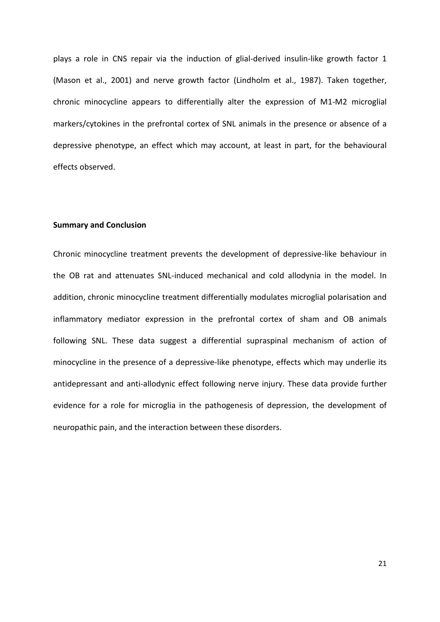plays a role in CNS repair via the induction of glial-derived insulin-like growth factor 1 (Mason et al., 2001) and nerve growth factor (Lindholm et al., 1987). Taken together, chronic minocycline appears to differentially alter the expression of M1-M2 microglial markers/cytokines in the prefrontal cortex of SNL animals in the presence or absence of a depressive phenotype, an effect which may account, at least in part, for the behavioural effects observed.

#### **Summary and Conclusion**

Chronic minocycline treatment prevents the development of depressive-like behaviour in the OB rat and attenuates SNL-induced mechanical and cold allodynia in the model. In addition, chronic minocycline treatment differentially modulates microglial polarisation and inflammatory mediator expression in the prefrontal cortex of sham and OB animals following SNL. These data suggest a differential supraspinal mechanism of action of minocycline in the presence of a depressive-like phenotype, effects which may underlie its antidepressant and anti-allodynic effect following nerve injury. These data provide further evidence for a role for microglia in the pathogenesis of depression, the development of neuropathic pain, and the interaction between these disorders.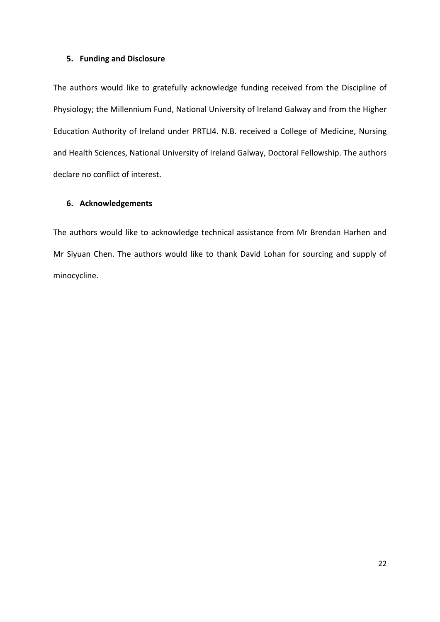### **5. Funding and Disclosure**

The authors would like to gratefully acknowledge funding received from the Discipline of Physiology; the Millennium Fund, National University of Ireland Galway and from the Higher Education Authority of Ireland under PRTLI4. N.B. received a College of Medicine, Nursing and Health Sciences, National University of Ireland Galway, Doctoral Fellowship. The authors declare no conflict of interest.

## **6. Acknowledgements**

The authors would like to acknowledge technical assistance from Mr Brendan Harhen and Mr Siyuan Chen. The authors would like to thank David Lohan for sourcing and supply of minocycline.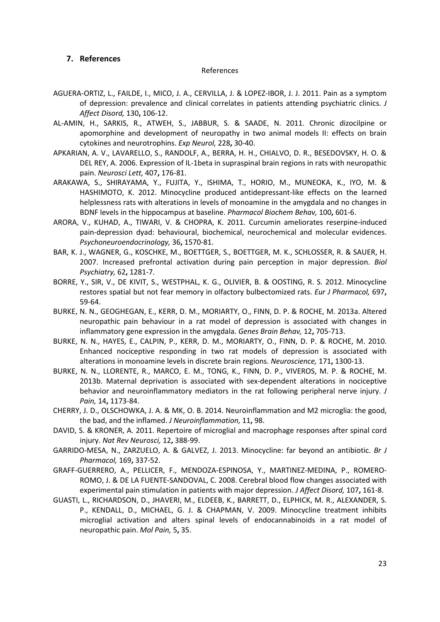## **7. References**

#### References

- AGUERA-ORTIZ, L., FAILDE, I., MICO, J. A., CERVILLA, J. & LOPEZ-IBOR, J. J. 2011. Pain as a symptom of depression: prevalence and clinical correlates in patients attending psychiatric clinics. *J Affect Disord,* 130**,** 106-12.
- AL-AMIN, H., SARKIS, R., ATWEH, S., JABBUR, S. & SAADE, N. 2011. Chronic dizocilpine or apomorphine and development of neuropathy in two animal models II: effects on brain cytokines and neurotrophins. *Exp Neurol,* 228**,** 30-40.
- APKARIAN, A. V., LAVARELLO, S., RANDOLF, A., BERRA, H. H., CHIALVO, D. R., BESEDOVSKY, H. O. & DEL REY, A. 2006. Expression of IL-1beta in supraspinal brain regions in rats with neuropathic pain. *Neurosci Lett,* 407**,** 176-81.
- ARAKAWA, S., SHIRAYAMA, Y., FUJITA, Y., ISHIMA, T., HORIO, M., MUNEOKA, K., IYO, M. & HASHIMOTO, K. 2012. Minocycline produced antidepressant-like effects on the learned helplessness rats with alterations in levels of monoamine in the amygdala and no changes in BDNF levels in the hippocampus at baseline. *Pharmacol Biochem Behav,* 100**,** 601-6.
- ARORA, V., KUHAD, A., TIWARI, V. & CHOPRA, K. 2011. Curcumin ameliorates reserpine-induced pain-depression dyad: behavioural, biochemical, neurochemical and molecular evidences. *Psychoneuroendocrinology,* 36**,** 1570-81.
- BAR, K. J., WAGNER, G., KOSCHKE, M., BOETTGER, S., BOETTGER, M. K., SCHLOSSER, R. & SAUER, H. 2007. Increased prefrontal activation during pain perception in major depression. *Biol Psychiatry,* 62**,** 1281-7.
- BORRE, Y., SIR, V., DE KIVIT, S., WESTPHAL, K. G., OLIVIER, B. & OOSTING, R. S. 2012. Minocycline restores spatial but not fear memory in olfactory bulbectomized rats. *Eur J Pharmacol,* 697**,** 59-64.
- BURKE, N. N., GEOGHEGAN, E., KERR, D. M., MORIARTY, O., FINN, D. P. & ROCHE, M. 2013a. Altered neuropathic pain behaviour in a rat model of depression is associated with changes in inflammatory gene expression in the amygdala. *Genes Brain Behav,* 12**,** 705-713.
- BURKE, N. N., HAYES, E., CALPIN, P., KERR, D. M., MORIARTY, O., FINN, D. P. & ROCHE, M. 2010. Enhanced nociceptive responding in two rat models of depression is associated with alterations in monoamine levels in discrete brain regions. *Neuroscience,* 171**,** 1300-13.
- BURKE, N. N., LLORENTE, R., MARCO, E. M., TONG, K., FINN, D. P., VIVEROS, M. P. & ROCHE, M. 2013b. Maternal deprivation is associated with sex-dependent alterations in nociceptive behavior and neuroinflammatory mediators in the rat following peripheral nerve injury. *J Pain,* 14**,** 1173-84.
- CHERRY, J. D., OLSCHOWKA, J. A. & MK, O. B. 2014. Neuroinflammation and M2 microglia: the good, the bad, and the inflamed. *J Neuroinflammation,* 11**,** 98.
- DAVID, S. & KRONER, A. 2011. Repertoire of microglial and macrophage responses after spinal cord injury. *Nat Rev Neurosci,* 12**,** 388-99.
- GARRIDO-MESA, N., ZARZUELO, A. & GALVEZ, J. 2013. Minocycline: far beyond an antibiotic. *Br J Pharmacol,* 169**,** 337-52.
- GRAFF-GUERRERO, A., PELLICER, F., MENDOZA-ESPINOSA, Y., MARTINEZ-MEDINA, P., ROMERO-ROMO, J. & DE LA FUENTE-SANDOVAL, C. 2008. Cerebral blood flow changes associated with experimental pain stimulation in patients with major depression. *J Affect Disord,* 107**,** 161-8.
- GUASTI, L., RICHARDSON, D., JHAVERI, M., ELDEEB, K., BARRETT, D., ELPHICK, M. R., ALEXANDER, S. P., KENDALL, D., MICHAEL, G. J. & CHAPMAN, V. 2009. Minocycline treatment inhibits microglial activation and alters spinal levels of endocannabinoids in a rat model of neuropathic pain. *Mol Pain,* 5**,** 35.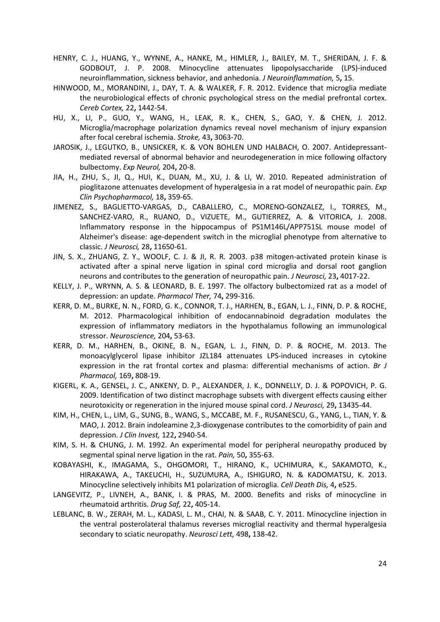- HENRY, C. J., HUANG, Y., WYNNE, A., HANKE, M., HIMLER, J., BAILEY, M. T., SHERIDAN, J. F. & GODBOUT, J. P. 2008. Minocycline attenuates lipopolysaccharide (LPS)-induced neuroinflammation, sickness behavior, and anhedonia. *J Neuroinflammation,* 5**,** 15.
- HINWOOD, M., MORANDINI, J., DAY, T. A. & WALKER, F. R. 2012. Evidence that microglia mediate the neurobiological effects of chronic psychological stress on the medial prefrontal cortex. *Cereb Cortex,* 22**,** 1442-54.
- HU, X., LI, P., GUO, Y., WANG, H., LEAK, R. K., CHEN, S., GAO, Y. & CHEN, J. 2012. Microglia/macrophage polarization dynamics reveal novel mechanism of injury expansion after focal cerebral ischemia. *Stroke,* 43**,** 3063-70.
- JAROSIK, J., LEGUTKO, B., UNSICKER, K. & VON BOHLEN UND HALBACH, O. 2007. Antidepressantmediated reversal of abnormal behavior and neurodegeneration in mice following olfactory bulbectomy. *Exp Neurol,* 204**,** 20-8.
- JIA, H., ZHU, S., JI, Q., HUI, K., DUAN, M., XU, J. & LI, W. 2010. Repeated administration of pioglitazone attenuates development of hyperalgesia in a rat model of neuropathic pain. *Exp Clin Psychopharmacol,* 18**,** 359-65.
- JIMENEZ, S., BAGLIETTO-VARGAS, D., CABALLERO, C., MORENO-GONZALEZ, I., TORRES, M., SANCHEZ-VARO, R., RUANO, D., VIZUETE, M., GUTIERREZ, A. & VITORICA, J. 2008. Inflammatory response in the hippocampus of PS1M146L/APP751SL mouse model of Alzheimer's disease: age-dependent switch in the microglial phenotype from alternative to classic. *J Neurosci,* 28**,** 11650-61.
- JIN, S. X., ZHUANG, Z. Y., WOOLF, C. J. & JI, R. R. 2003. p38 mitogen-activated protein kinase is activated after a spinal nerve ligation in spinal cord microglia and dorsal root ganglion neurons and contributes to the generation of neuropathic pain. *J Neurosci,* 23**,** 4017-22.
- KELLY, J. P., WRYNN, A. S. & LEONARD, B. E. 1997. The olfactory bulbectomized rat as a model of depression: an update. *Pharmacol Ther,* 74**,** 299-316.
- KERR, D. M., BURKE, N. N., FORD, G. K., CONNOR, T. J., HARHEN, B., EGAN, L. J., FINN, D. P. & ROCHE, M. 2012. Pharmacological inhibition of endocannabinoid degradation modulates the expression of inflammatory mediators in the hypothalamus following an immunological stressor. *Neuroscience,* 204**,** 53-63.
- KERR, D. M., HARHEN, B., OKINE, B. N., EGAN, L. J., FINN, D. P. & ROCHE, M. 2013. The monoacylglycerol lipase inhibitor JZL184 attenuates LPS-induced increases in cytokine expression in the rat frontal cortex and plasma: differential mechanisms of action. *Br J Pharmacol,* 169**,** 808-19.
- KIGERL, K. A., GENSEL, J. C., ANKENY, D. P., ALEXANDER, J. K., DONNELLY, D. J. & POPOVICH, P. G. 2009. Identification of two distinct macrophage subsets with divergent effects causing either neurotoxicity or regeneration in the injured mouse spinal cord. *J Neurosci,* 29**,** 13435-44.
- KIM, H., CHEN, L., LIM, G., SUNG, B., WANG, S., MCCABE, M. F., RUSANESCU, G., YANG, L., TIAN, Y. & MAO, J. 2012. Brain indoleamine 2,3-dioxygenase contributes to the comorbidity of pain and depression. *J Clin Invest,* 122**,** 2940-54.
- KIM, S. H. & CHUNG, J. M. 1992. An experimental model for peripheral neuropathy produced by segmental spinal nerve ligation in the rat. *Pain,* 50**,** 355-63.
- KOBAYASHI, K., IMAGAMA, S., OHGOMORI, T., HIRANO, K., UCHIMURA, K., SAKAMOTO, K., HIRAKAWA, A., TAKEUCHI, H., SUZUMURA, A., ISHIGURO, N. & KADOMATSU, K. 2013. Minocycline selectively inhibits M1 polarization of microglia. *Cell Death Dis,* 4**,** e525.
- LANGEVITZ, P., LIVNEH, A., BANK, I. & PRAS, M. 2000. Benefits and risks of minocycline in rheumatoid arthritis. *Drug Saf,* 22**,** 405-14.
- LEBLANC, B. W., ZERAH, M. L., KADASI, L. M., CHAI, N. & SAAB, C. Y. 2011. Minocycline injection in the ventral posterolateral thalamus reverses microglial reactivity and thermal hyperalgesia secondary to sciatic neuropathy. *Neurosci Lett,* 498**,** 138-42.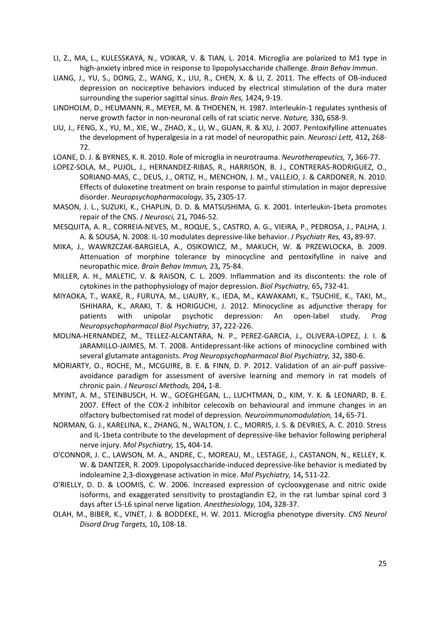- LI, Z., MA, L., KULESSKAYA, N., VOIKAR, V. & TIAN, L. 2014. Microglia are polarized to M1 type in high-anxiety inbred mice in response to lipopolysaccharide challenge. *Brain Behav Immun*.
- LIANG, J., YU, S., DONG, Z., WANG, X., LIU, R., CHEN, X. & LI, Z. 2011. The effects of OB-induced depression on nociceptive behaviors induced by electrical stimulation of the dura mater surrounding the superior sagittal sinus. *Brain Res,* 1424**,** 9-19.
- LINDHOLM, D., HEUMANN, R., MEYER, M. & THOENEN, H. 1987. Interleukin-1 regulates synthesis of nerve growth factor in non-neuronal cells of rat sciatic nerve. *Nature,* 330**,** 658-9.
- LIU, J., FENG, X., YU, M., XIE, W., ZHAO, X., LI, W., GUAN, R. & XU, J. 2007. Pentoxifylline attenuates the development of hyperalgesia in a rat model of neuropathic pain. *Neurosci Lett,* 412**,** 268- 72.
- LOANE, D. J. & BYRNES, K. R. 2010. Role of microglia in neurotrauma. *Neurotherapeutics,* 7**,** 366-77.
- LOPEZ-SOLA, M., PUJOL, J., HERNANDEZ-RIBAS, R., HARRISON, B. J., CONTRERAS-RODRIGUEZ, O., SORIANO-MAS, C., DEUS, J., ORTIZ, H., MENCHON, J. M., VALLEJO, J. & CARDONER, N. 2010. Effects of duloxetine treatment on brain response to painful stimulation in major depressive disorder. *Neuropsychopharmacology,* 35**,** 2305-17.
- MASON, J. L., SUZUKI, K., CHAPLIN, D. D. & MATSUSHIMA, G. K. 2001. Interleukin-1beta promotes repair of the CNS. *J Neurosci,* 21**,** 7046-52.
- MESQUITA, A. R., CORREIA-NEVES, M., ROQUE, S., CASTRO, A. G., VIEIRA, P., PEDROSA, J., PALHA, J. A. & SOUSA, N. 2008. IL-10 modulates depressive-like behavior. *J Psychiatr Res,* 43**,** 89-97.
- MIKA, J., WAWRZCZAK-BARGIELA, A., OSIKOWICZ, M., MAKUCH, W. & PRZEWLOCKA, B. 2009. Attenuation of morphine tolerance by minocycline and pentoxifylline in naive and neuropathic mice. *Brain Behav Immun,* 23**,** 75-84.
- MILLER, A. H., MALETIC, V. & RAISON, C. L. 2009. Inflammation and its discontents: the role of cytokines in the pathophysiology of major depression. *Biol Psychiatry,* 65**,** 732-41.
- MIYAOKA, T., WAKE, R., FURUYA, M., LIAURY, K., IEDA, M., KAWAKAMI, K., TSUCHIE, K., TAKI, M., ISHIHARA, K., ARAKI, T. & HORIGUCHI, J. 2012. Minocycline as adjunctive therapy for patients with unipolar psychotic depression: An open-label study. *Prog Neuropsychopharmacol Biol Psychiatry,* 37**,** 222-226.
- MOLINA-HERNANDEZ, M., TELLEZ-ALCANTARA, N. P., PEREZ-GARCIA, J., OLIVERA-LOPEZ, J. I. & JARAMILLO-JAIMES, M. T. 2008. Antidepressant-like actions of minocycline combined with several glutamate antagonists. *Prog Neuropsychopharmacol Biol Psychiatry,* 32**,** 380-6.
- MORIARTY, O., ROCHE, M., MCGUIRE, B. E. & FINN, D. P. 2012. Validation of an air-puff passiveavoidance paradigm for assessment of aversive learning and memory in rat models of chronic pain. *J Neurosci Methods,* 204**,** 1-8.
- MYINT, A. M., STEINBUSCH, H. W., GOEGHEGAN, L., LUCHTMAN, D., KIM, Y. K. & LEONARD, B. E. 2007. Effect of the COX-2 inhibitor celecoxib on behavioural and immune changes in an olfactory bulbectomised rat model of depression. *Neuroimmunomodulation,* 14**,** 65-71.
- NORMAN, G. J., KARELINA, K., ZHANG, N., WALTON, J. C., MORRIS, J. S. & DEVRIES, A. C. 2010. Stress and IL-1beta contribute to the development of depressive-like behavior following peripheral nerve injury. *Mol Psychiatry,* 15**,** 404-14.
- O'CONNOR, J. C., LAWSON, M. A., ANDRE, C., MOREAU, M., LESTAGE, J., CASTANON, N., KELLEY, K. W. & DANTZER, R. 2009. Lipopolysaccharide-induced depressive-like behavior is mediated by indoleamine 2,3-dioxygenase activation in mice. *Mol Psychiatry,* 14**,** 511-22.
- O'RIELLY, D. D. & LOOMIS, C. W. 2006. Increased expression of cyclooxygenase and nitric oxide isoforms, and exaggerated sensitivity to prostaglandin E2, in the rat lumbar spinal cord 3 days after L5-L6 spinal nerve ligation. *Anesthesiology,* 104**,** 328-37.
- OLAH, M., BIBER, K., VINET, J. & BODDEKE, H. W. 2011. Microglia phenotype diversity. *CNS Neurol Disord Drug Targets,* 10**,** 108-18.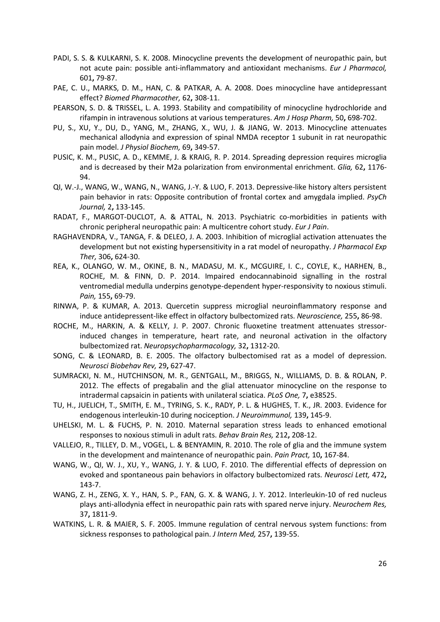- PADI, S. S. & KULKARNI, S. K. 2008. Minocycline prevents the development of neuropathic pain, but not acute pain: possible anti-inflammatory and antioxidant mechanisms. *Eur J Pharmacol,* 601**,** 79-87.
- PAE, C. U., MARKS, D. M., HAN, C. & PATKAR, A. A. 2008. Does minocycline have antidepressant effect? *Biomed Pharmacother,* 62**,** 308-11.
- PEARSON, S. D. & TRISSEL, L. A. 1993. Stability and compatibility of minocycline hydrochloride and rifampin in intravenous solutions at various temperatures. *Am J Hosp Pharm,* 50**,** 698-702.
- PU, S., XU, Y., DU, D., YANG, M., ZHANG, X., WU, J. & JIANG, W. 2013. Minocycline attenuates mechanical allodynia and expression of spinal NMDA receptor 1 subunit in rat neuropathic pain model. *J Physiol Biochem,* 69**,** 349-57.
- PUSIC, K. M., PUSIC, A. D., KEMME, J. & KRAIG, R. P. 2014. Spreading depression requires microglia and is decreased by their M2a polarization from environmental enrichment. *Glia,* 62**,** 1176- 94.
- QI, W.-J., WANG, W., WANG, N., WANG, J.-Y. & LUO, F. 2013. Depressive-like history alters persistent pain behavior in rats: Opposite contribution of frontal cortex and amygdala implied. *PsyCh Journal,* 2**,** 133-145.
- RADAT, F., MARGOT-DUCLOT, A. & ATTAL, N. 2013. Psychiatric co-morbidities in patients with chronic peripheral neuropathic pain: A multicentre cohort study. *Eur J Pain*.
- RAGHAVENDRA, V., TANGA, F. & DELEO, J. A. 2003. Inhibition of microglial activation attenuates the development but not existing hypersensitivity in a rat model of neuropathy. *J Pharmacol Exp Ther,* 306**,** 624-30.
- REA, K., OLANGO, W. M., OKINE, B. N., MADASU, M. K., MCGUIRE, I. C., COYLE, K., HARHEN, B., ROCHE, M. & FINN, D. P. 2014. Impaired endocannabinoid signalling in the rostral ventromedial medulla underpins genotype-dependent hyper-responsivity to noxious stimuli. *Pain,* 155**,** 69-79.
- RINWA, P. & KUMAR, A. 2013. Quercetin suppress microglial neuroinflammatory response and induce antidepressent-like effect in olfactory bulbectomized rats. *Neuroscience,* 255**,** 86-98.
- ROCHE, M., HARKIN, A. & KELLY, J. P. 2007. Chronic fluoxetine treatment attenuates stressorinduced changes in temperature, heart rate, and neuronal activation in the olfactory bulbectomized rat. *Neuropsychopharmacology,* 32**,** 1312-20.
- SONG, C. & LEONARD, B. E. 2005. The olfactory bulbectomised rat as a model of depression. *Neurosci Biobehav Rev,* 29**,** 627-47.
- SUMRACKI, N. M., HUTCHINSON, M. R., GENTGALL, M., BRIGGS, N., WILLIAMS, D. B. & ROLAN, P. 2012. The effects of pregabalin and the glial attenuator minocycline on the response to intradermal capsaicin in patients with unilateral sciatica. *PLoS One,* 7**,** e38525.
- TU, H., JUELICH, T., SMITH, E. M., TYRING, S. K., RADY, P. L. & HUGHES, T. K., JR. 2003. Evidence for endogenous interleukin-10 during nociception. *J Neuroimmunol,* 139**,** 145-9.
- UHELSKI, M. L. & FUCHS, P. N. 2010. Maternal separation stress leads to enhanced emotional responses to noxious stimuli in adult rats. *Behav Brain Res,* 212**,** 208-12.
- VALLEJO, R., TILLEY, D. M., VOGEL, L. & BENYAMIN, R. 2010. The role of glia and the immune system in the development and maintenance of neuropathic pain. *Pain Pract,* 10**,** 167-84.
- WANG, W., QI, W. J., XU, Y., WANG, J. Y. & LUO, F. 2010. The differential effects of depression on evoked and spontaneous pain behaviors in olfactory bulbectomized rats. *Neurosci Lett,* 472**,** 143-7.
- WANG, Z. H., ZENG, X. Y., HAN, S. P., FAN, G. X. & WANG, J. Y. 2012. Interleukin-10 of red nucleus plays anti-allodynia effect in neuropathic pain rats with spared nerve injury. *Neurochem Res,* 37**,** 1811-9.
- WATKINS, L. R. & MAIER, S. F. 2005. Immune regulation of central nervous system functions: from sickness responses to pathological pain. *J Intern Med,* 257**,** 139-55.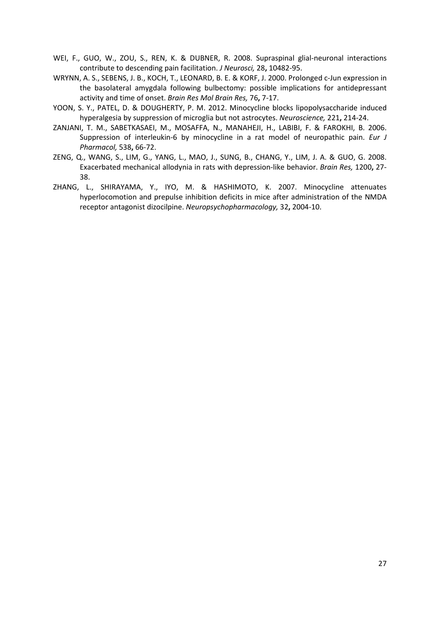- WEI, F., GUO, W., ZOU, S., REN, K. & DUBNER, R. 2008. Supraspinal glial-neuronal interactions contribute to descending pain facilitation. *J Neurosci,* 28**,** 10482-95.
- WRYNN, A. S., SEBENS, J. B., KOCH, T., LEONARD, B. E. & KORF, J. 2000. Prolonged c-Jun expression in the basolateral amygdala following bulbectomy: possible implications for antidepressant activity and time of onset. *Brain Res Mol Brain Res,* 76**,** 7-17.
- YOON, S. Y., PATEL, D. & DOUGHERTY, P. M. 2012. Minocycline blocks lipopolysaccharide induced hyperalgesia by suppression of microglia but not astrocytes. *Neuroscience,* 221**,** 214-24.
- ZANJANI, T. M., SABETKASAEI, M., MOSAFFA, N., MANAHEJI, H., LABIBI, F. & FAROKHI, B. 2006. Suppression of interleukin-6 by minocycline in a rat model of neuropathic pain. *Eur J Pharmacol,* 538**,** 66-72.
- ZENG, Q., WANG, S., LIM, G., YANG, L., MAO, J., SUNG, B., CHANG, Y., LIM, J. A. & GUO, G. 2008. Exacerbated mechanical allodynia in rats with depression-like behavior. *Brain Res,* 1200**,** 27- 38.
- ZHANG, L., SHIRAYAMA, Y., IYO, M. & HASHIMOTO, K. 2007. Minocycline attenuates hyperlocomotion and prepulse inhibition deficits in mice after administration of the NMDA receptor antagonist dizocilpine. *Neuropsychopharmacology,* 32**,** 2004-10.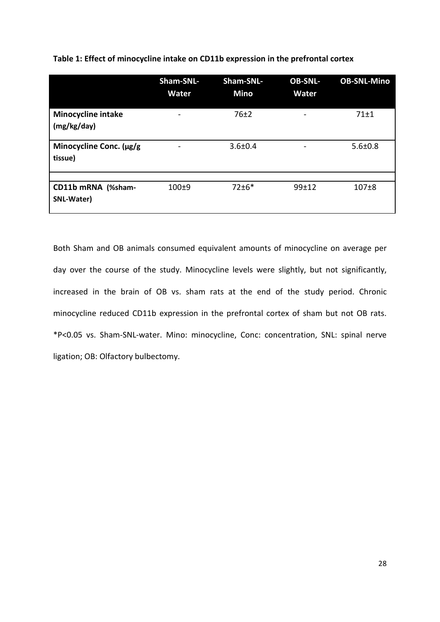|                                    | Sham-SNL-<br><b>Water</b> | Sham-SNL-<br><b>Mino</b> | <b>OB-SNL-</b><br><b>Water</b> | <b>OB-SNL-Mino</b> |
|------------------------------------|---------------------------|--------------------------|--------------------------------|--------------------|
| <b>Minocycline intake</b>          |                           | 76±2                     |                                | 71±1               |
| (mg/kg/day)                        |                           |                          |                                |                    |
| Minocycline Conc. (µg/g<br>tissue) | -                         | $3.6 \pm 0.4$            | -                              | $5.6 \pm 0.8$      |
|                                    |                           |                          |                                |                    |
| CD11b mRNA (%sham-<br>SNL-Water)   | $100 + 9$                 | $72 \pm 6*$              | 99±12                          | $107 + 8$          |

Both Sham and OB animals consumed equivalent amounts of minocycline on average per day over the course of the study. Minocycline levels were slightly, but not significantly, increased in the brain of OB vs. sham rats at the end of the study period. Chronic minocycline reduced CD11b expression in the prefrontal cortex of sham but not OB rats. \*P<0.05 vs. Sham-SNL-water. Mino: minocycline, Conc: concentration, SNL: spinal nerve ligation; OB: Olfactory bulbectomy.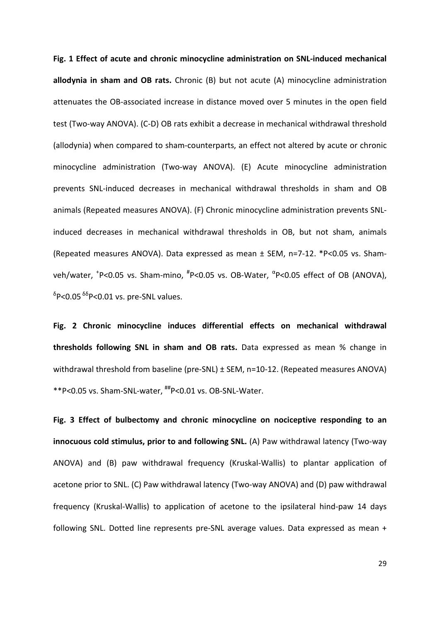**Fig. 1 Effect of acute and chronic minocycline administration on SNL-induced mechanical allodynia in sham and OB rats.** Chronic (B) but not acute (A) minocycline administration attenuates the OB-associated increase in distance moved over 5 minutes in the open field test (Two-way ANOVA). (C-D) OB rats exhibit a decrease in mechanical withdrawal threshold (allodynia) when compared to sham-counterparts, an effect not altered by acute or chronic minocycline administration (Two-way ANOVA). (E) Acute minocycline administration prevents SNL-induced decreases in mechanical withdrawal thresholds in sham and OB animals (Repeated measures ANOVA). (F) Chronic minocycline administration prevents SNLinduced decreases in mechanical withdrawal thresholds in OB, but not sham, animals (Repeated measures ANOVA). Data expressed as mean ± SEM, n=7-12. \*P<0.05 vs. Shamveh/water, <sup>+</sup>P<0.05 vs. Sham-mino, <sup>#</sup>P<0.05 vs. OB-Water, <sup>α</sup>P<0.05 effect of OB (ANOVA),  $\delta$ P<0.05  $\delta$ <sup> $\delta$ </sup>P<0.01 vs. pre-SNL values.

**Fig. 2 Chronic minocycline induces differential effects on mechanical withdrawal thresholds following SNL in sham and OB rats.** Data expressed as mean % change in withdrawal threshold from baseline (pre-SNL) ± SEM, n=10-12. (Repeated measures ANOVA) \*\*P<0.05 vs. Sham-SNL-water, ##P<0.01 vs. OB-SNL-Water.

**Fig. 3 Effect of bulbectomy and chronic minocycline on nociceptive responding to an innocuous cold stimulus, prior to and following SNL.** (A) Paw withdrawal latency (Two-way ANOVA) and (B) paw withdrawal frequency (Kruskal-Wallis) to plantar application of acetone prior to SNL. (C) Paw withdrawal latency (Two-way ANOVA) and (D) paw withdrawal frequency (Kruskal-Wallis) to application of acetone to the ipsilateral hind-paw 14 days following SNL. Dotted line represents pre-SNL average values. Data expressed as mean +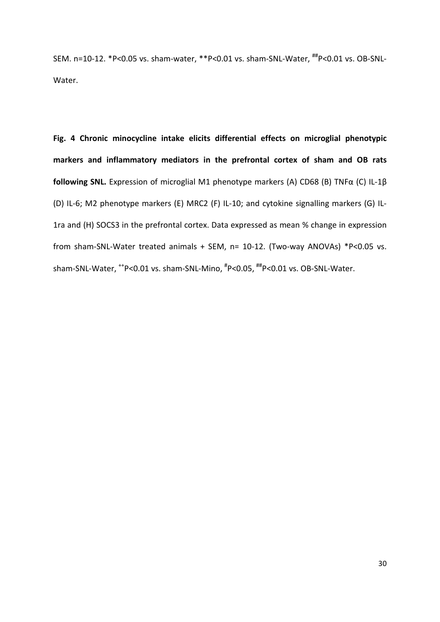SEM. n=10-12. \*P<0.05 vs. sham-water, \*\*P<0.01 vs. sham-SNL-Water, ##P<0.01 vs. OB-SNL-Water.

**Fig. 4 Chronic minocycline intake elicits differential effects on microglial phenotypic markers and inflammatory mediators in the prefrontal cortex of sham and OB rats following SNL.** Expression of microglial M1 phenotype markers (A) CD68 (B) TNFα (C) IL-1β (D) IL-6; M2 phenotype markers (E) MRC2 (F) IL-10; and cytokine signalling markers (G) IL-1ra and (H) SOCS3 in the prefrontal cortex. Data expressed as mean % change in expression from sham-SNL-Water treated animals + SEM, n= 10-12. (Two-way ANOVAs) \*P<0.05 vs. sham-SNL-Water, <sup>++</sup>P<0.01 vs. sham-SNL-Mino, <sup>#</sup>P<0.05, <sup>##</sup>P<0.01 vs. OB-SNL-Water.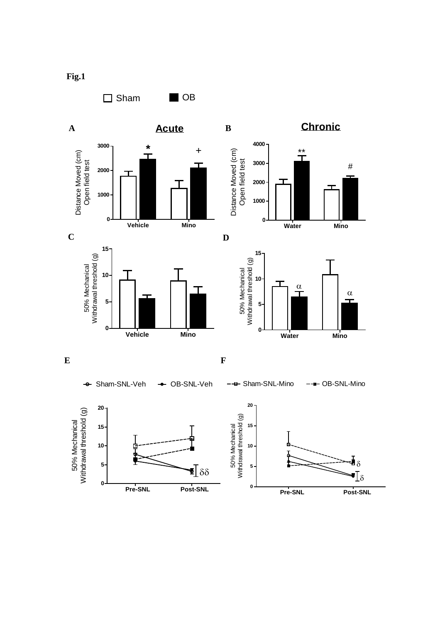

**Fig.1**

**Pre-SNL Post-SNL**

 $\overline{\mathbf{E}}$  δδ

**0**

**5**

**Pre-SNL Post-SNL**

 $\P_\delta$ 

 ${\bf I}_\delta$ 

**0**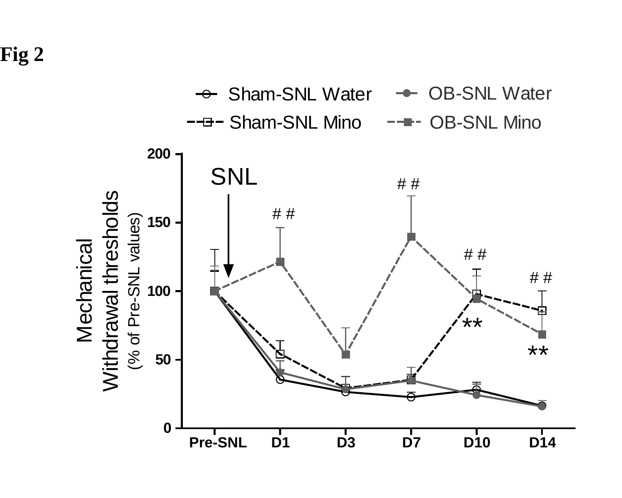**Fig 2**

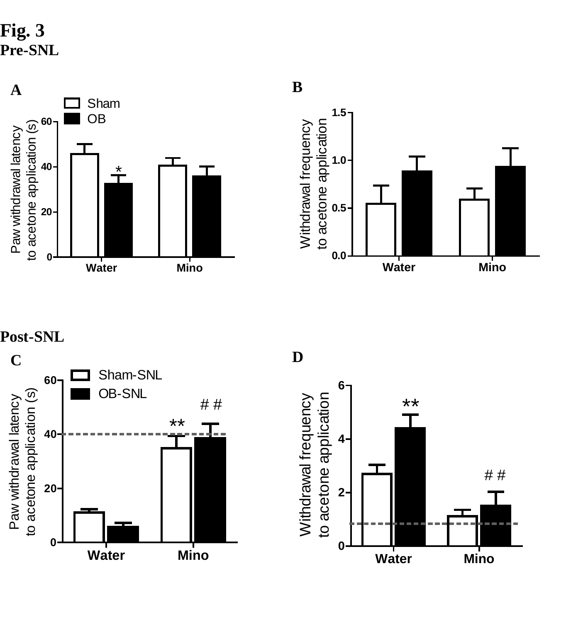**Fig. 3 Pre -SNL**





**B**

#### **Post -SNL**